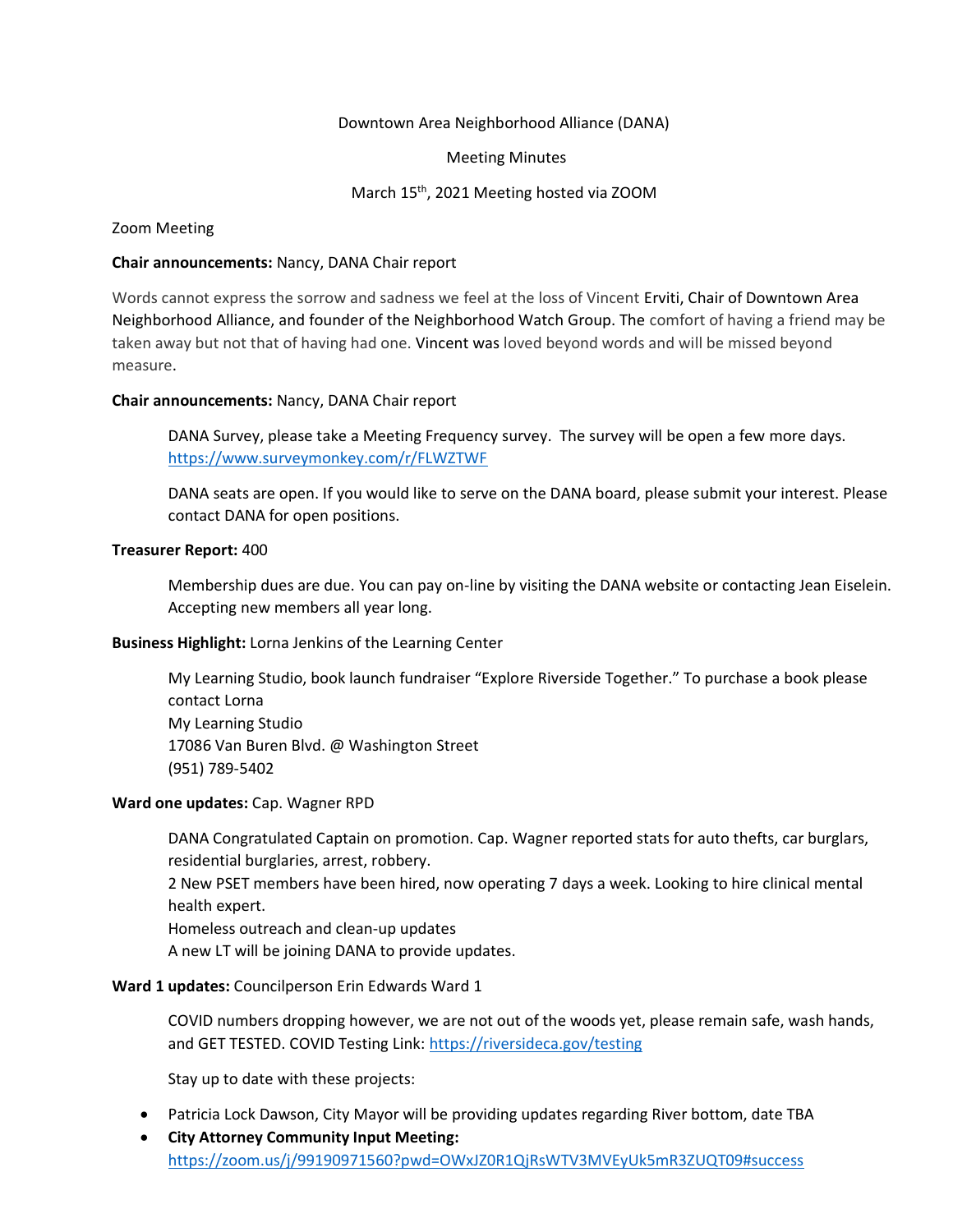## Downtown Area Neighborhood Alliance (DANA)

#### Meeting Minutes

## March 15th, 2021 Meeting hosted via ZOOM

## Zoom Meeting

## **Chair announcements:** Nancy, DANA Chair report

Words cannot express the sorrow and sadness we feel at the loss of Vincent Erviti, Chair of Downtown Area Neighborhood Alliance, and founder of the Neighborhood Watch Group. The comfort of having a friend may be taken away but not that of having had one. Vincent was loved beyond words and will be missed beyond measure.

## **Chair announcements:** Nancy, DANA Chair report

DANA Survey, please take a Meeting Frequency survey. The survey will be open a few more days. <https://www.surveymonkey.com/r/FLWZTWF>

DANA seats are open. If you would like to serve on the DANA board, please submit your interest. Please contact DANA for open positions.

#### **Treasurer Report:** 400

Membership dues are due. You can pay on-line by visiting the DANA website or contacting Jean Eiselein. Accepting new members all year long.

# **Business Highlight:** Lorna Jenkins of the Learning Center

My Learning Studio, book launch fundraiser "Explore Riverside Together." To purchase a book please contact Lorna My Learning Studio 17086 Van Buren Blvd. @ Washington Street (951) 789-5402

#### **Ward one updates:** Cap. Wagner RPD

DANA Congratulated Captain on promotion. Cap. Wagner reported stats for auto thefts, car burglars, residential burglaries, arrest, robbery.

2 New PSET members have been hired, now operating 7 days a week. Looking to hire clinical mental health expert.

Homeless outreach and clean-up updates

A new LT will be joining DANA to provide updates.

## **Ward 1 updates:** Councilperson Erin Edwards Ward 1

COVID numbers dropping however, we are not out of the woods yet, please remain safe, wash hands, and GET TESTED. COVID Testing Link[: https://riversideca.gov/testing](https://riversideca.gov/testing)

Stay up to date with these projects:

- Patricia Lock Dawson, City Mayor will be providing updates regarding River bottom, date TBA
- **City Attorney Community Input Meeting:** <https://zoom.us/j/99190971560?pwd=OWxJZ0R1QjRsWTV3MVEyUk5mR3ZUQT09#success>